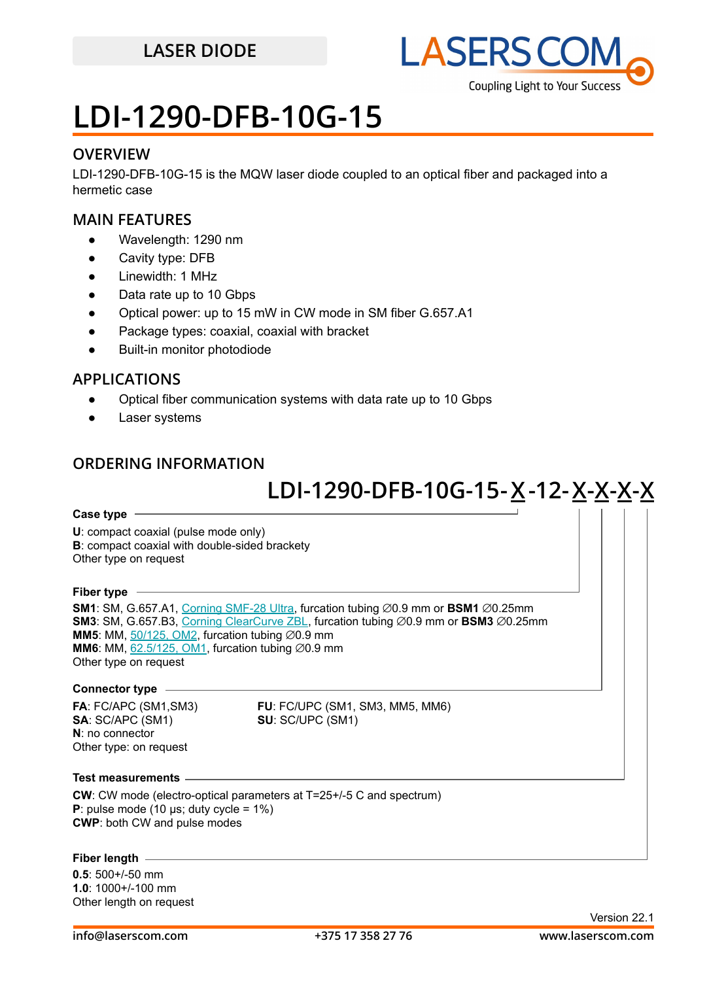

## **LDI-1290-DFB-10G-15**

#### **OVERVIEW**

LDI-1290-DFB-10G-15 is the MQW laser diode coupled to an optical fiber and packaged into a hermetic case

#### **MAIN FEATURES**

- Wavelength: 1290 nm
- Cavity type: DFB
- Linewidth: 1 MHz
- Data rate up to 10 Gbps
- Optical power: up to 15 mW in CW mode in SM fiber G.657.A1
- Package types: coaxial, coaxial with bracket
- **Built-in monitor photodiode**

### **APPLICATIONS**

- Optical fiber communication systems with data rate up to 10 Gbps
- Laser systems

### **ORDERING INFORMATION**

## **LDI-1290-DFB-10G-15 -X 12-X-X-X-X -**

#### **Case type**

**U**: compact coaxial (pulse mode only) **B**: compact coaxial with double-sided brackety Other type on request

#### **Fiber type**

**SM1**: SM, G.657.A1, [Corning SMF-28 Ultra](https://drive.google.com/file/d/1JeMdVLHUIGFdzKdBnzaeOmjsa81S284f/view?usp=sharing), furcation tubing ⌀0.9 mm or **BSM1** ⌀0.25mm **SM3**: SM, G.657.B3, [Corning ClearCurve ZBL](https://drive.google.com/file/d/1BnScs4F0ApGayHF4MQJvm8phLaEPHUV0/view?usp=sharing), furcation tubing ⌀0.9 mm or **BSM3** ⌀0.25mm **MM5**: MM,  $50/125$ , OM2, furcation tubing  $\varnothing$ 0.9 mm **MM6**: MM,  $62.5/125$ , OM1, furcation tubing  $\emptyset$ 0.9 mm Other type on request

#### **Connector type**

**SA**: SC/APC (SM1) **SU**: SC/UPC (SM1) **N**: no connector Other type: on request

**FA**: FC/APC (SM1,SM3) **FU**: FC/UPC (SM1, SM3, MM5, MM6)

#### **Test measurements**

**CW**: CW mode (electro-optical parameters at T=25+/-5 C and spectrum) **P**: pulse mode (10  $\mu$ s; duty cycle = 1%) **CWP**: both CW and pulse modes

#### **Fiber length**

**0.5**: 500+/-50 mm **1.0**: 1000+/-100 mm Other length on request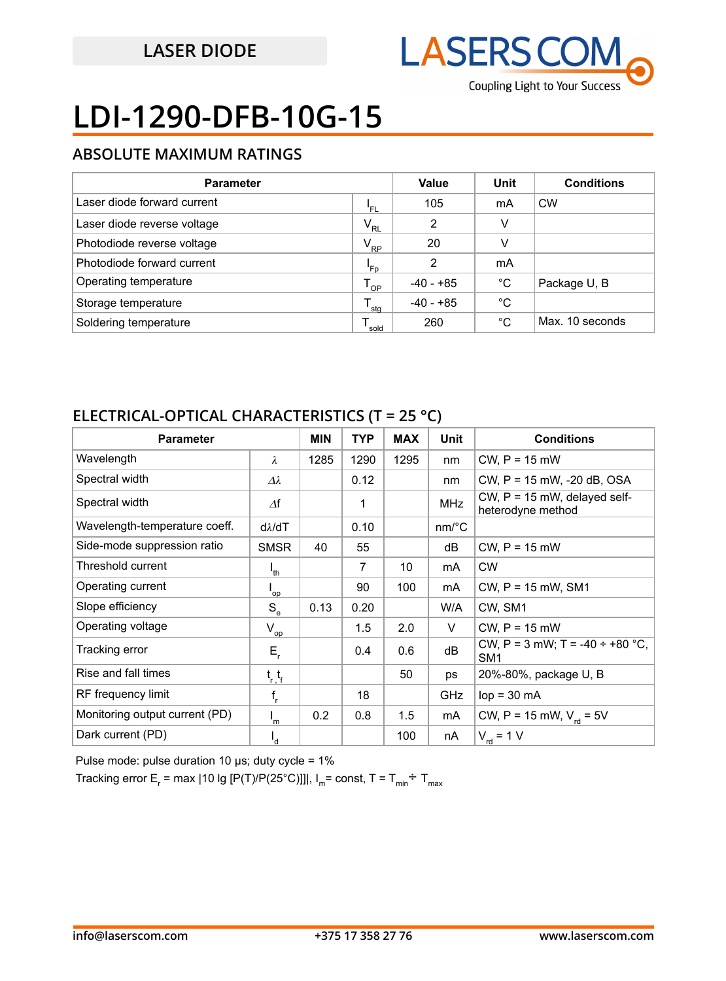

# **LDI-1290-DFB-10G-15**

### **ABSOLUTE MAXIMUM RATINGS**

| <b>Parameter</b>            |                  | Value       | Unit        | <b>Conditions</b> |
|-----------------------------|------------------|-------------|-------------|-------------------|
| Laser diode forward current | 'FL              | 105         | mA          | <b>CW</b>         |
| Laser diode reverse voltage | $V_{RL}$         | 2           | v           |                   |
| Photodiode reverse voltage  | $V_{\rm RP}$     | 20          | v           |                   |
| Photodiode forward current  | 'Fp              | 2           | mA          |                   |
| Operating temperature       | $T_{OP}$         | $-40 - +85$ | $^{\circ}C$ | Package U, B      |
| Storage temperature         | $^{\bullet}$ stg | $-40 - +85$ | $^{\circ}C$ |                   |
| Soldering temperature       | sold             | 260         | °C          | Max. 10 seconds   |

### **ELECTRICAL-OPTICAL CHARACTERISTICS (T = 25 °C)**

| <b>Parameter</b>               |                   | <b>MIN</b> | <b>TYP</b>     | <b>MAX</b> | <b>Unit</b>           | <b>Conditions</b>                                       |
|--------------------------------|-------------------|------------|----------------|------------|-----------------------|---------------------------------------------------------|
| Wavelength                     | $\lambda$         | 1285       | 1290           | 1295       | nm                    | $CW$ , $P = 15$ mW                                      |
| Spectral width                 | $\Delta\lambda$   |            | 0.12           |            | nm                    | CW, P = 15 mW, -20 dB, OSA                              |
| Spectral width                 | $\varDelta f$     |            | 1              |            | <b>MHz</b>            | CW, $P = 15$ mW, delayed self-<br>heterodyne method     |
| Wavelength-temperature coeff.  | $d\lambda/dT$     |            | 0.10           |            | $nm$ <sup>o</sup> $C$ |                                                         |
| Side-mode suppression ratio    | <b>SMSR</b>       | 40         | 55             |            | dB                    | $CW, P = 15$ mW                                         |
| Threshold current              | $I_{th}$          |            | $\overline{7}$ | 10         | mA                    | <b>CW</b>                                               |
| Operating current              | 'op               |            | 90             | 100        | mA                    | $CW$ , $P = 15$ mW, SM1                                 |
| Slope efficiency               | $S_e$             | 0.13       | 0.20           |            | W/A                   | CW, SM1                                                 |
| Operating voltage              | $V_{op}$          |            | 1.5            | 2.0        | V                     | $CW$ , $P = 15$ mW                                      |
| Tracking error                 | $E_{\rm r}$       |            | 0.4            | 0.6        | dB                    | CW, P = 3 mW; T = -40 $\div$ +80 °C,<br>SM <sub>1</sub> |
| Rise and fall times            | $t_{r}$ , $t_{r}$ |            |                | 50         | ps                    | 20%-80%, package U, B                                   |
| RF frequency limit             | $f_r$             |            | 18             |            | <b>GHz</b>            | $lop = 30 mA$                                           |
| Monitoring output current (PD) | $I_m$             | 0.2        | 0.8            | 1.5        | mA                    | CW, P = 15 mW, $V_{rel}$ = 5V                           |
| Dark current (PD)              | $I_{d}$           |            |                | 100        | nA                    | $V_{\text{rd}}$ = 1 V                                   |

Pulse mode: pulse duration 10  $\mu$ s; duty cycle = 1%

Tracking error E<sub>r</sub> = max |10 lg [P(T)/P(25°C)]]|, I<sub>m</sub>= const, T = T<sub>min</sub>÷ T<sub>max</sub>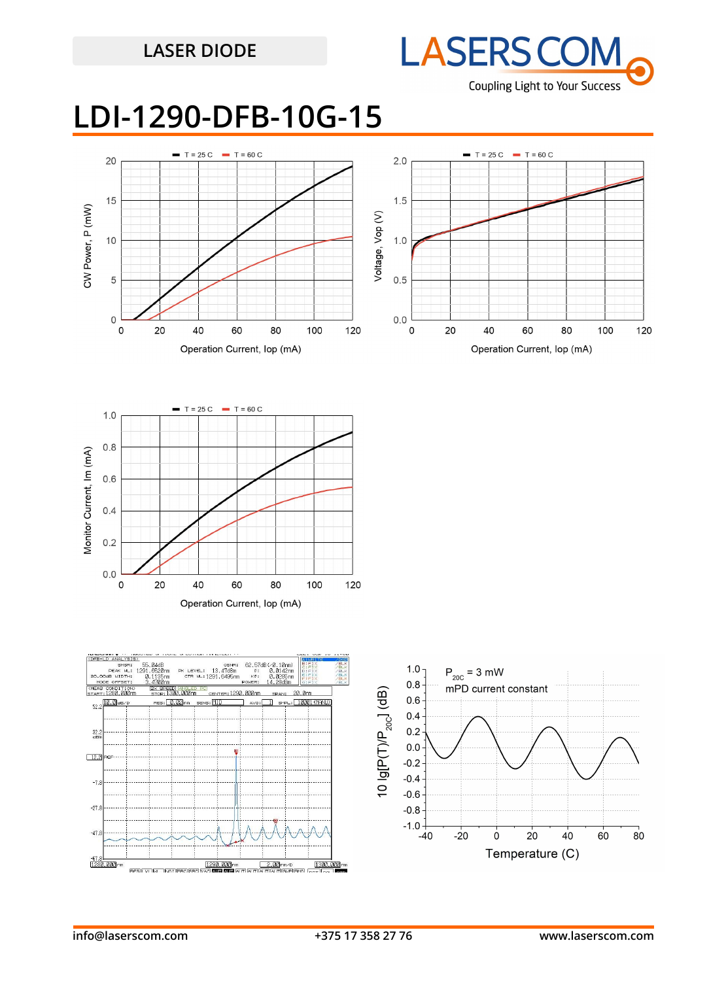

## **LDI-1290-DFB-10G-15**







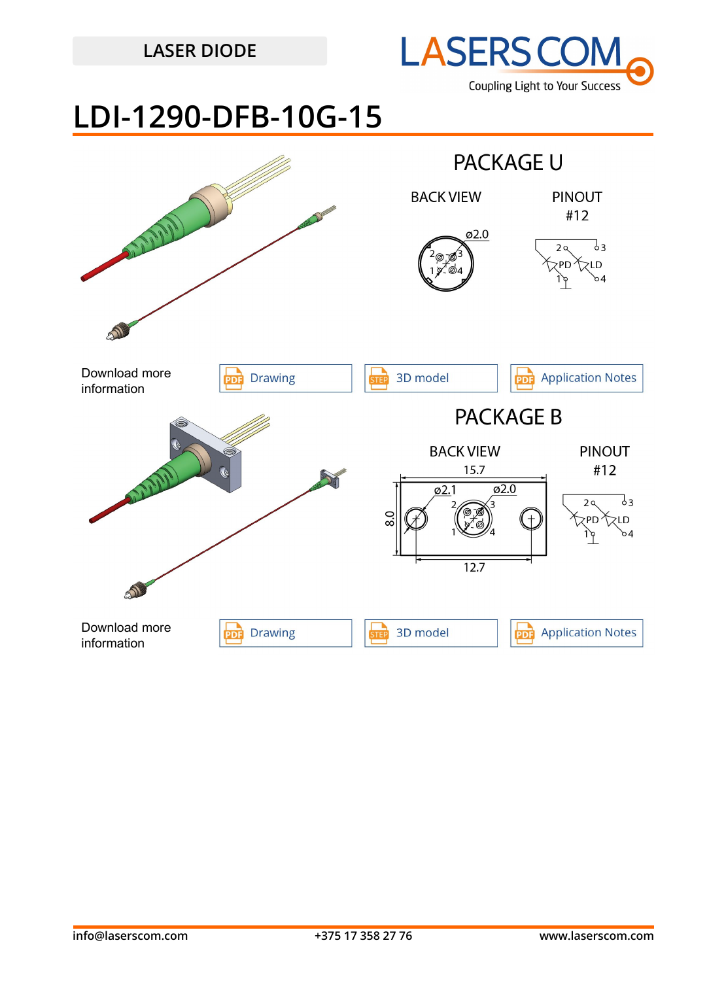

## **LDI-1290-DFB-10G-15**